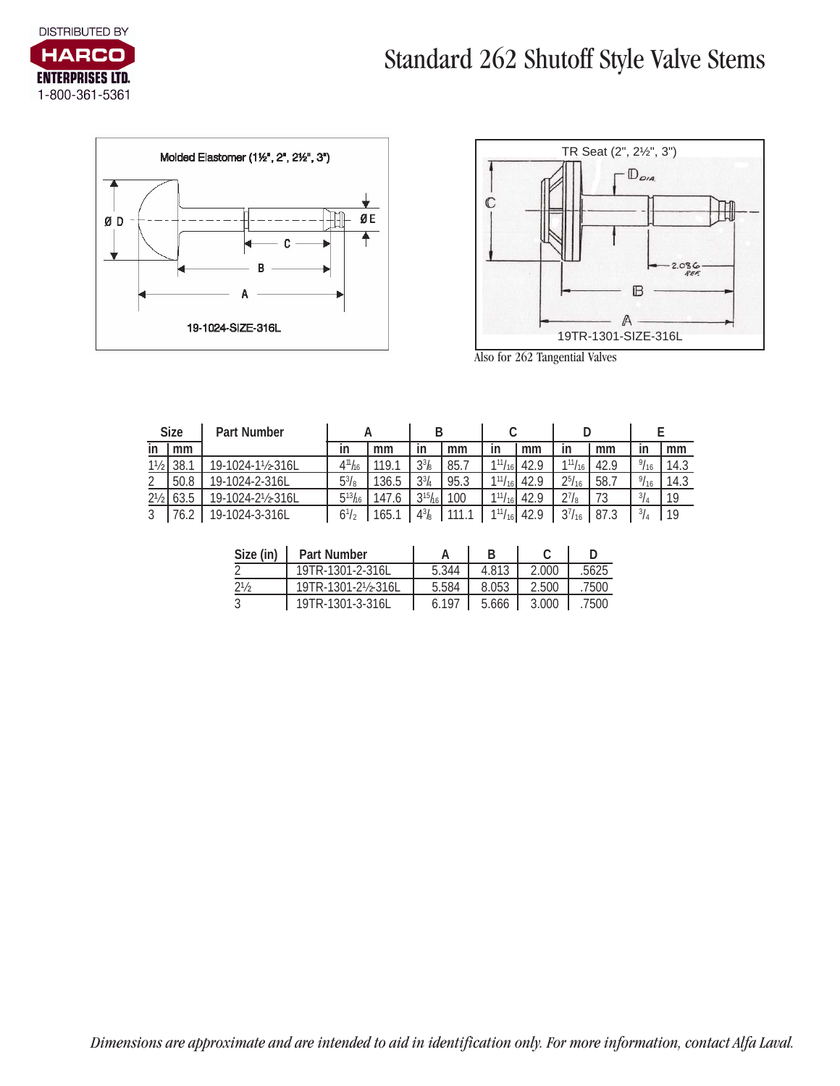





Also for 262 Tangential Valves

| <b>Size</b>    |      | <b>Part Number</b> |                                |       | В                   |      |                |        |               |      |               |      |
|----------------|------|--------------------|--------------------------------|-------|---------------------|------|----------------|--------|---------------|------|---------------|------|
| ın             | mm   |                    | ın                             | mm    | ın                  | mm   | ın             | mm     | ın            | mm   | in            | mm   |
| $1\frac{1}{2}$ | 38.  | 19-1024-1½-316L    | 4 <sup>11</sup> h <sub>6</sub> | 119.  | $33$ / <sub>8</sub> | 85.7 | 111/16         | 42.9   | $111/16$ 1    | 42.9 | 9/16          | 14.3 |
|                | 50.8 | 19-1024-2-316L     | $5^{3}/_{8}$                   | 136.5 | $3^{3}/_{4}$        | 95.3 | $1^{11}/_{16}$ | . 42.9 | $2^{5}/_{16}$ | 58., | 9/16          | 14.3 |
| $2\frac{1}{2}$ | 63.5 | 19-1024-2½-316L    | $5^{13}$ h6                    | 147.6 | $3^{15}h_{6}$       | 100  | $1^{11}/_{16}$ | 42.9   | $2^{7}/_{8}$  | 73   | $^{3}/_{4}$   | 19   |
|                |      | 19-1024-3-316L     | $6^{1/2}$                      | 165.  | 43/8                | 111  | $111/16$ .     | 42.9   | $3^{7}/_{16}$ | 87.3 | $\frac{3}{4}$ | 19   |

| Size (in)      | <b>Part Number</b> |       |         |       |       |
|----------------|--------------------|-------|---------|-------|-------|
|                | 19TR-1301-2-316L   | 5.344 | 4.813   | 2.000 | .5625 |
| $2\frac{1}{2}$ | 19TR-1301-2½-316L  | 5.584 | 8.053   | 2.500 | .7500 |
|                | 19TR-1301-3-316L   | 6.197 | $5.666$ | 3.000 | .7500 |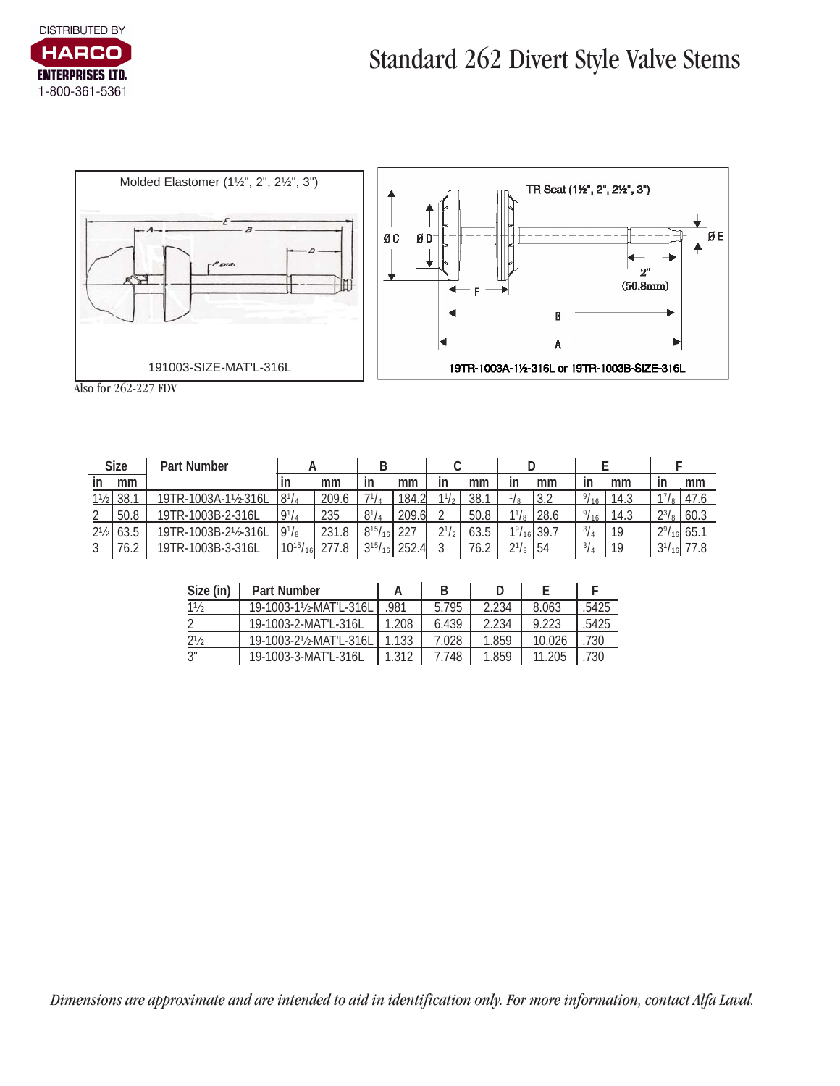



Also for 262-227 FDV

| <b>Size</b>    |    | Part Number        |                 |       |                |                      |            |      |                     |      |               |      |                     |      |
|----------------|----|--------------------|-----------------|-------|----------------|----------------------|------------|------|---------------------|------|---------------|------|---------------------|------|
| ın             | mm |                    | ın              | mm    |                | mm                   | ın         | mm   | ın                  | mm   | ın            | mm   | ın                  | mm   |
| 11/2           |    | 19TR-1003A-1½-316I |                 | ንበ0   |                | 184                  |            | 38.  |                     |      |               | 14.3 |                     |      |
| റ              |    | 19TR-1003B-2-316L  | $9^{1}/_{4}$    | 235   | Q <sub>1</sub> | 209.6l               |            | 50.8 |                     | 28.6 | 91            | 14.3 | 231                 | 60.3 |
| $2\frac{1}{2}$ |    | 19TR-1003B-2½-316L | $19^{1/8}$      | 231.8 | $8^{15}/$      | 227                  | 211        | 63.5 | $1\frac{9}{16}$ 39. |      | $^{3}/_{4}$   |      | $2\frac{9}{16}$ 65. |      |
|                |    | 19TR-1003B-3-316L  | $10^{15}/_{16}$ |       | $3^{15}/_{16}$ | 252.<br>$\mathbf{I}$ | $\sqrt{2}$ | 76.2 | $2^{1}/\mathrm{s}$  | 54   | $\frac{3}{4}$ | 10   | $3^{1}/_{16}$       |      |

| Size (in)      | <b>Part Number</b>    |            |       |       |        |              |
|----------------|-----------------------|------------|-------|-------|--------|--------------|
| $1\frac{1}{2}$ | 19-1003-1½-MAT'L-316L | .981       | 5.795 | 2.234 | 8.063  | .5425        |
|                | 19-1003-2-MAT'L-316L  | 1.208      | 6.439 | 2.234 | 9.223  | .5425        |
| $2\frac{1}{2}$ | 19-1003-2½-MAT'L-316L | 11.133     | 7.028 | 1.859 | 10.026 | .730         |
| 3"             | 19-1003-3-MAT'L-316L  | $11.312$ . | 7.748 | 1.859 | 11.205 | $\sqrt{730}$ |

*Dimensions are approximate and are intended to aid in identification only. For more information, contact Alfa Laval.*